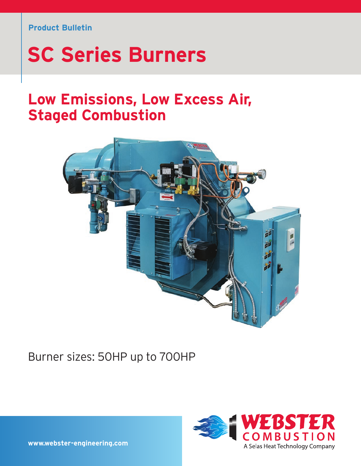#### **Product Bulletin**

# **SC Series Burners**

# **Low Emissions, Low Excess Air, Staged Combustion**



# Burner sizes: 50HP up to 700HP



**www.webster-engineering.com**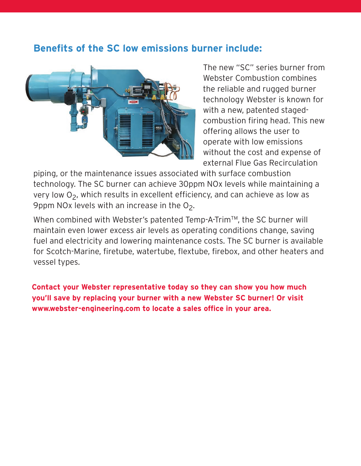### **Benefits of the SC low emissions burner include:**



The new "SC" series burner from Webster Combustion combines the reliable and rugged burner technology Webster is known for with a new, patented stagedcombustion firing head. This new offering allows the user to operate with low emissions without the cost and expense of external Flue Gas Recirculation

piping, or the maintenance issues associated with surface combustion technology. The SC burner can achieve 30ppm NOx levels while maintaining a very low  $O<sub>2</sub>$ , which results in excellent efficiency, and can achieve as low as 9ppm NOx levels with an increase in the  $O<sub>2</sub>$ .

When combined with Webster's patented Temp-A-Trim™, the SC burner will maintain even lower excess air levels as operating conditions change, saving fuel and electricity and lowering maintenance costs. The SC burner is available for Scotch-Marine, firetube, watertube, flextube, firebox, and other heaters and vessel types.

**Contact your Webster representative today so they can show you how much you'll save by replacing your burner with a new Webster SC burner! Or visit www.webster-engineering.com to locate a sales office in your area.**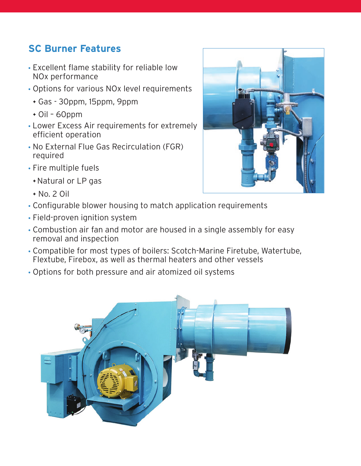# **SC Burner Features**

- Excellent flame stability for reliable low NOx performance
- Options for various NOx level requirements
	- <sup>F</sup> Gas 30ppm, 15ppm, 9ppm
	- $\div$  Oil 60ppm
- Lower Excess Air requirements for extremely efficient operation
- No External Flue Gas Recirculation (FGR) required
- Fire multiple fuels
	- \*Natural or LP gas
	- $R$  No. 2 Oil



- Field-proven ignition system
- Combustion air fan and motor are housed in a single assembly for easy removal and inspection
- Compatible for most types of boilers: Scotch-Marine Firetube, Watertube, Flextube, Firebox, as well as thermal heaters and other vessels
- Options for both pressure and air atomized oil systems